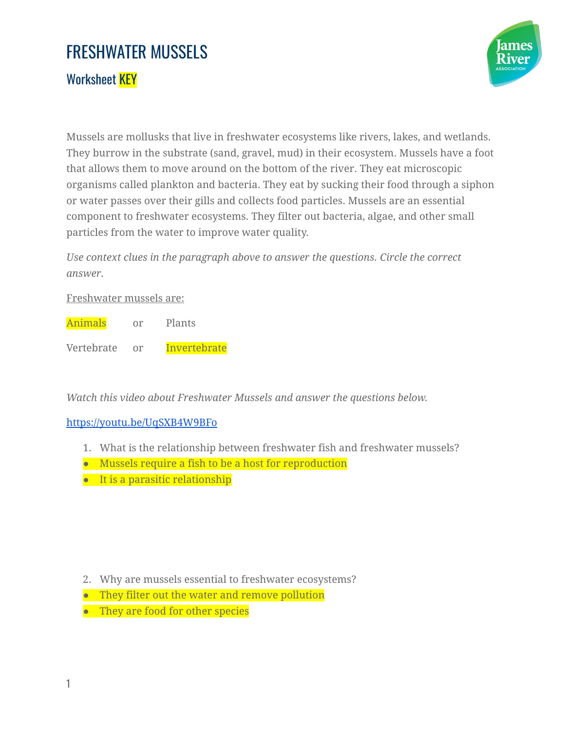## FRESHWATER MUSSELS

Worksheet **KEY** 



Mussels are mollusks that live in freshwater ecosystems like rivers, lakes, and wetlands. They burrow in the substrate (sand, gravel, mud) in their ecosystem. Mussels have a foot that allows them to move around on the bottom of the river. They eat microscopic organisms called plankton and bacteria. They eat by sucking their food through a siphon or water passes over their gills and collects food particles. Mussels are an essential component to freshwater ecosystems. They filter out bacteria, algae, and other small particles from the water to improve water quality.

*Use context clues in the paragraph above to answer the questions. Circle the correct answer.*

## Freshwater mussels are:

Animals or Plants Vertebrate or Invertebrate

*Watch this video about Freshwater Mussels and answer the questions below.*

## <https://youtu.be/UqSXB4W9BFo>

- 1. What is the relationship between freshwater fish and freshwater mussels?
- Mussels require a fish to be a host for reproduction
- It is a parasitic relationship

- 2. Why are mussels essential to freshwater ecosystems?
- They filter out the water and remove pollution
- They are food for other species